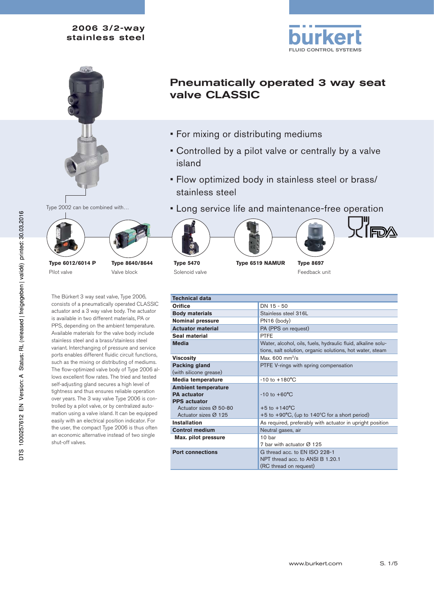



Type 2002 can be combined with…



Valve block

Pilot valve

The Bürkert 3 way seat valve, Type 2006, consists of a pneumatically operated CLASSIC actuator and a 3 way valve body. The actuator is available in two different materials, PA or PPS, depending on the ambient temperature. Available materials for the valve body include stainless steel and a brass/stainless steel variant. Interchanging of pressure and service ports enables different fluidic circuit functions, such as the mixing or distributing of mediums. The flow-optimized valve body of Type 2006 allows excellent flow rates. The tried and tested self-adjusting gland secures a high level of tightness and thus ensures reliable operation over years. The 3 way valve Type 2006 is controlled by a pilot valve, or by centralized automation using a valve island. It can be equipped easily with an electrical position indicator. For the user, the compact Type 2006 is thus often an economic alternative instead of two single shut-off valves.

- Pneumatically operated 3 way seat valve CLASSIC
- For mixing or distributing mediums
- Controlled by a pilot valve or centrally by a valve island
- Flow optimized body in stainless steel or brass/ stainless steel
- Long service life and maintenance-free operation











**Type 5470** Solenoid valve

**Type 6519 NAMUR Type 8697**

Feedback unit

| Technical data                                                                                    |                                                                                                                           |
|---------------------------------------------------------------------------------------------------|---------------------------------------------------------------------------------------------------------------------------|
| Orifice                                                                                           | DN 15 - 50                                                                                                                |
| <b>Body materials</b>                                                                             | Stainless steel 316L                                                                                                      |
| <b>Nominal pressure</b>                                                                           | PN16 (body)                                                                                                               |
| <b>Actuator material</b>                                                                          | PA (PPS on request)                                                                                                       |
| Seal material                                                                                     | <b>PTFF</b>                                                                                                               |
| <b>Media</b>                                                                                      | Water, alcohol, oils, fuels, hydraulic fluid, alkaline solu-<br>tions, salt solution, organic solutions, hot water, steam |
| Viscositv                                                                                         | Max. $600 \text{ mm}^2\text{/s}$                                                                                          |
| Packing gland                                                                                     | PTFE V-rings with spring compensation                                                                                     |
| (with silicone grease)                                                                            |                                                                                                                           |
| Media temperature                                                                                 | $-10$ to $+180^{\circ}$ C                                                                                                 |
| <b>Ambient temperature</b><br><b>PA</b> actuator<br><b>PPS actuator</b><br>Actuator sizes Ø 50-80 | $-10$ to $+60^{\circ}$ C<br>$+5$ to $+140^{\circ}$ C                                                                      |
| Actuator sizes $\varnothing$ 125                                                                  |                                                                                                                           |
| <b>Installation</b>                                                                               | +5 to +90 $\degree$ C, (up to 140 $\degree$ C for a short period)                                                         |
|                                                                                                   | As required, preferably with actuator in upright position                                                                 |
| <b>Control medium</b>                                                                             | Neutral gases, air                                                                                                        |
| Max. pilot pressure                                                                               | 10 <sub>bar</sub><br>7 bar with actuator Ø 125                                                                            |
| <b>Port connections</b>                                                                           | G thread acc. to EN ISO 228-1<br>NPT thread acc. to ANSI B 1.20.1<br>(RC thread on request)                               |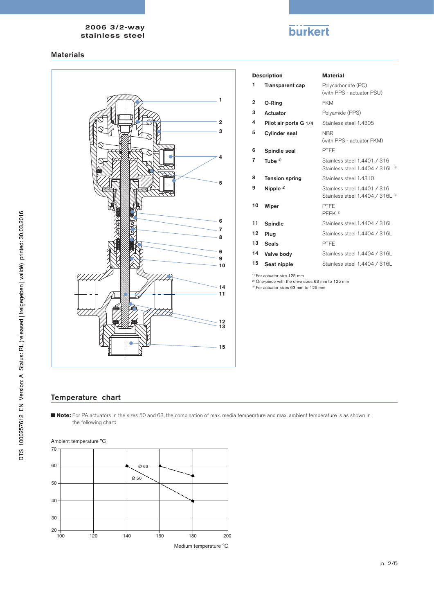# **burkert**

### Materials



|                | <b>Description</b>     | <b>Material</b>                                                  |
|----------------|------------------------|------------------------------------------------------------------|
| 1              | <b>Transparent cap</b> | Polycarbonate (PC)<br>(with PPS - actuator PSU)                  |
| $\mathbf{2}$   | O-Rina                 | <b>FKM</b>                                                       |
| 3              | Actuator               | Polyamide (PPS)                                                  |
| 4              | Pilot air ports G 1/4  | Stainless steel 1.4305                                           |
| 5              | <b>Cylinder seal</b>   | <b>NBR</b><br>(with PPS - actuator FKM)                          |
| 6              | Spindle seal           | PTFE                                                             |
| $\overline{7}$ | Tube $2$               | Stainless steel 1.4401 / 316<br>Stainless steel 1.4404 / 316L 3) |
| 8              | <b>Tension spring</b>  | Stainless steel 1.4310                                           |
| 9              | Nipple $2)$            | Stainless steel 1.4401 / 316<br>Stainless steel 1.4404 / 316L 3) |
| 10             | Wiper                  | PTFE<br>PEEK <sup>1)</sup>                                       |
| 11             | Spindle                | Stainless steel 1.4404 / 316L                                    |
| 12             | Plua                   | Stainless steel 1.4404 / 316L                                    |
| 13             | <b>Seals</b>           | PTFF                                                             |
| 14             | Valve body             | Stainless steel 1.4404 / 316L                                    |
| 15             | Seat nipple            | Stainless steel 1.4404 / 316L                                    |

<sup>1)</sup> For actuator size 125 mm

<sup>2)</sup> One-piece with the drive sizes 63 mm to 125 mm

<sup>3)</sup> For actuator sizes 63 mm to 125 mm

## Temperature chart

■ **Note:** For PA actuators in the sizes 50 and 63, the combination of max. media temperature and max. ambient temperature is as shown in the following chart:

Ambient temperature °C

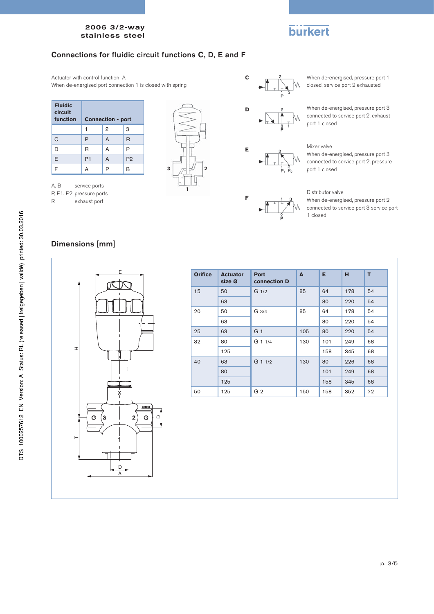# **burkert**

## Connections for fluidic circuit functions C, D, E and F

Actuator with control function A When de-energised port connection 1 is closed with spring

| <b>Fluidic</b><br>circuit<br>function | <b>Connection - port</b> |                |                |  |  |  |  |  |
|---------------------------------------|--------------------------|----------------|----------------|--|--|--|--|--|
|                                       |                          | $\overline{2}$ | 3              |  |  |  |  |  |
| C                                     | P                        | A              | R              |  |  |  |  |  |
| D                                     | R                        | A              | P              |  |  |  |  |  |
| E                                     | P1                       | A              | P <sub>2</sub> |  |  |  |  |  |
| F                                     | А                        | P              | B              |  |  |  |  |  |

A, B service ports P, P1, P2 pressure ports<br>R exhaust port

exhaust port





**E**

**F**

When de-energised, pressure port 1 closed, service port 2 exhausted

When de-energised, pressure port 3 connected to service port 2, exhaust port 1 closed

### Mixer valve

When de-energised, pressure port 3 connected to service port 2, pressure port 1 closed

#### Distributor valve

When de-energised, pressure port 2 connected to service port 3 service port 1 closed

## Dimensions [mm]



| <b>Orifice</b> | <b>Actuator</b><br>size Ø | <b>Port</b><br>connection D | A   | E.  | H   | T  |
|----------------|---------------------------|-----------------------------|-----|-----|-----|----|
| 15             | 50                        | G <sub>1/2</sub>            | 85  | 64  | 178 | 54 |
|                | 63                        |                             |     | 80  | 220 | 54 |
| 20             | 50                        | G 3/4                       | 85  | 64  | 178 | 54 |
|                | 63                        |                             |     | 80  | 220 | 54 |
| 25             | 63                        | G <sub>1</sub>              | 105 | 80  | 220 | 54 |
| 32             | 80                        | $G$ 1 1/4                   | 130 | 101 | 249 | 68 |
|                | 125                       |                             |     | 158 | 345 | 68 |
| 40             | 63                        | $G$ 1 $1/2$                 | 130 | 80  | 226 | 68 |
| 80             |                           |                             |     | 101 | 249 | 68 |
|                | 125                       |                             |     | 158 | 345 | 68 |
| 50             | 125                       | G <sub>2</sub>              | 150 | 158 | 352 | 72 |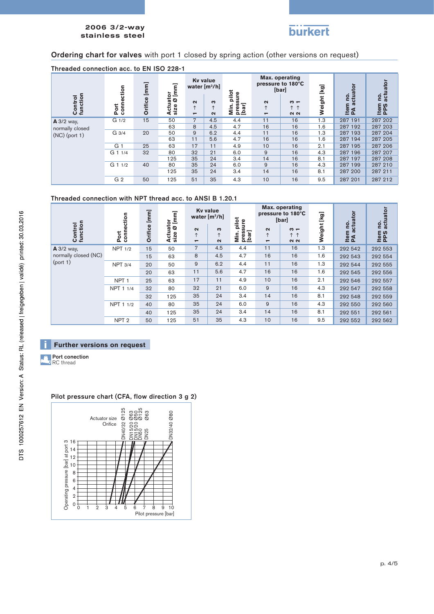

## Ordering chart for valves with port 1 closed by spring action (other versions on request)

| Threaded connection acc. to EN 150 228-1 |                       |                                                                                                                                                                                                                                                                                                                 |                                  |                                    |                                    |                                |                                                  |                                              |        |                    |                    |
|------------------------------------------|-----------------------|-----------------------------------------------------------------------------------------------------------------------------------------------------------------------------------------------------------------------------------------------------------------------------------------------------------------|----------------------------------|------------------------------------|------------------------------------|--------------------------------|--------------------------------------------------|----------------------------------------------|--------|--------------------|--------------------|
|                                          | ction                 | $[mm] % \begin{minipage}[b]{0.4\linewidth} \centering \includegraphics[width=\linewidth]{images/STN1000.pdf} \caption{The image shows the number of different models. The number of different models are shown in the left and right.} \label{fig:STN0000} \end{minipage} \vspace{0.05in} \label{fig:STN00000}$ | Έ                                |                                    | <b>Ky value</b><br>water $[m^3/h]$ | pilot                          |                                                  | Max. operating<br>pressure to 180°C<br>[bar] | [kg]   |                    | actuator           |
| Control<br>function                      | $\frac{1}{2}$<br>Port | Orifice                                                                                                                                                                                                                                                                                                         | uator<br>e Ø [mı<br>size<br>4cti | $\sim$<br>$\overline{\phantom{0}}$ | ∾<br>↑<br>$\sim$                   | sure<br>press<br>[bar]<br>Min. | $\sim$<br>$\uparrow$<br>$\overline{\phantom{0}}$ | $\sim$ $-$<br><u> ተ</u><br><b>NN</b>         | Weight | ρ.<br>Item<br>PA a | ρó.<br>Item<br>PPS |
| $A$ 3/2 way,                             | G <sub>1/2</sub>      | 15                                                                                                                                                                                                                                                                                                              | 50                               | $\overline{7}$                     | 4.5                                | 4.4                            | 11                                               | 16                                           | 1.3    | 287 191            | 287 202            |
| normally closed                          |                       |                                                                                                                                                                                                                                                                                                                 | 63                               | 8                                  | 4.5                                | 4.7                            | 16                                               | 16                                           | 1.6    | 287 192            | 287 203            |
| $(NC)$ (port 1)                          | G 3/4                 | 20                                                                                                                                                                                                                                                                                                              | 50                               | 9                                  | 6.2                                | 4.4                            | 11                                               | 16                                           | 1.3    | 287 193            | 287 204            |
|                                          |                       |                                                                                                                                                                                                                                                                                                                 | 63                               | 11                                 | 5.6                                | 4.7                            | 16                                               | 16                                           | 1.6    | 287 194            | 287 205            |
|                                          | G.                    | 25                                                                                                                                                                                                                                                                                                              | 63                               | 17                                 | 11                                 | 4.9                            | 10                                               | 16                                           | 2.1    | 287 195            | 287 206            |
|                                          | G 1 1/4               | 32                                                                                                                                                                                                                                                                                                              | 80                               | 32                                 | 21                                 | 6.0                            | 9                                                | 16                                           | 4.3    | 287 196            | 287 207            |
|                                          |                       |                                                                                                                                                                                                                                                                                                                 | 125                              | 35                                 | 24                                 | 3.4                            | 14                                               | 16                                           | 8.1    | 287 197            | 287 208            |
|                                          | $G$ 1 $1/2$           | 40                                                                                                                                                                                                                                                                                                              | 80                               | 35                                 | 24                                 | 6.0                            | 9                                                | 16                                           | 4.3    | 287 199            | 287 210            |
|                                          |                       |                                                                                                                                                                                                                                                                                                                 | 125                              | 35                                 | 24                                 | 3.4                            | 14                                               | 16                                           | 8.1    | 287 200            | 287 211            |
|                                          | G <sub>2</sub>        | 50                                                                                                                                                                                                                                                                                                              | 125                              | 51                                 | 35                                 | 4.3                            | 10                                               | 16                                           | 9.5    | 287 201            | 287 212            |

# Threaded connection acc. to EN ISO 228-1

### Threaded connection with NPT thread acc. to ANSI B 1.20.1

| function<br>Control  | Port<br>connection | $[mm] % \begin{minipage}[b]{0.4\linewidth} \centering \includegraphics[width=\linewidth]{images/STN1000.pdf} \caption{The image shows the number of different models. % \label{fig:STN0000} \end{minipage} \vspace{0.05in} \label{fig:STN0000}$<br>Orifice | [mm]<br>tor<br>Ø<br>ctuat | $\sim$                                 | <b>Ky value</b><br>water $[m3/h]$<br>S | pilot<br>sure          | $\sim$                       | Max. operating<br>pressure to 180°C<br>[bar]<br>$\omega$ $-$ | [kg]<br>Weight | ē<br>g       | actuator<br>ρó. |
|----------------------|--------------------|------------------------------------------------------------------------------------------------------------------------------------------------------------------------------------------------------------------------------------------------------------|---------------------------|----------------------------------------|----------------------------------------|------------------------|------------------------------|--------------------------------------------------------------|----------------|--------------|-----------------|
|                      |                    |                                                                                                                                                                                                                                                            | size<br>∢                 | $\uparrow$<br>$\overline{\phantom{0}}$ | $\uparrow$<br>$\sim$                   | Nin.<br>press<br>[bar] | $\uparrow$<br>$\blacksquare$ | <u> ተ</u><br><b>NN</b>                                       |                | Item<br>PA a | Item<br>PPS     |
| <b>A</b> 3/2 way,    | <b>NPT 1/2</b>     | 15                                                                                                                                                                                                                                                         | 50                        | $\overline{7}$                         | 4.5                                    | 4.4                    | 11                           | 16                                                           | 1.3            | 292 542      | 292 553         |
| normally closed (NC) |                    | 15                                                                                                                                                                                                                                                         | 63                        | 8                                      | 4.5                                    | 4.7                    | 16                           | 16                                                           | 1.6            | 292 543      | 292 554         |
| (port 1)             | <b>NPT 3/4</b>     | 20                                                                                                                                                                                                                                                         | 50                        | 9                                      | 6.2                                    | 4.4                    | 11                           | 16                                                           | 1.3            | 292 544      | 292 555         |
|                      |                    | 20                                                                                                                                                                                                                                                         | 63                        | 11                                     | 5.6                                    | 4.7                    | 16                           | 16                                                           | 1.6            | 292 545      | 292 556         |
|                      | NPT <sub>1</sub>   | 25                                                                                                                                                                                                                                                         | 63                        | 17                                     | 11                                     | 4.9                    | 10                           | 16                                                           | 2.1            | 292 546      | 292 557         |
|                      | NPT 1 1/4          | 32                                                                                                                                                                                                                                                         | 80                        | 32                                     | 21                                     | 6.0                    | 9                            | 16                                                           | 4.3            | 292 547      | 292 558         |
|                      |                    | 32                                                                                                                                                                                                                                                         | 125                       | 35                                     | 24                                     | 3.4                    | 14                           | 16                                                           | 8.1            | 292 548      | 292 559         |
|                      | NPT 1 1/2          | 40                                                                                                                                                                                                                                                         | 80                        | 35                                     | 24                                     | 6.0                    | 9                            | 16                                                           | 4.3            | 292 550      | 292 560         |
|                      |                    | 40                                                                                                                                                                                                                                                         | 125                       | 35                                     | 24                                     | 3.4                    | 14                           | 16                                                           | 8.1            | 292 551      | 292 561         |
|                      | NPT <sub>2</sub>   | 50                                                                                                                                                                                                                                                         | 125                       | 51                                     | 35                                     | 4.3                    | 10                           | 16                                                           | 9.5            | 292 552      | 292 562         |

### **Further versions on request**

Port conection RC thread

### Pilot pressure chart (CFA, flow direction 3 g 2)